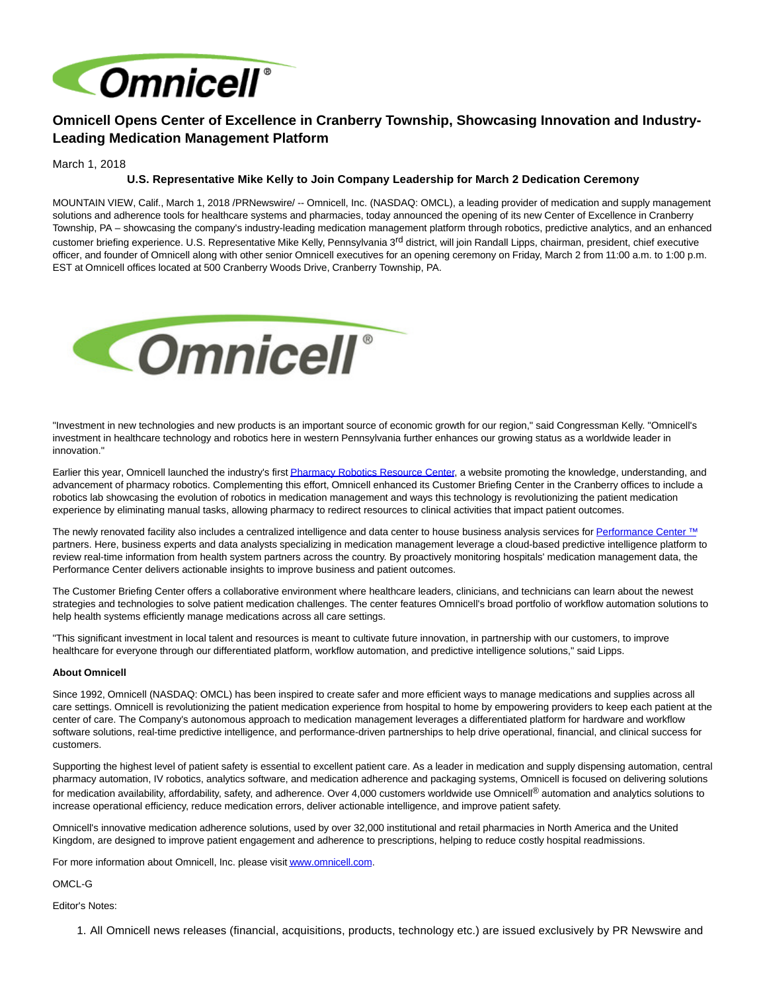

## **Omnicell Opens Center of Excellence in Cranberry Township, Showcasing Innovation and Industry-Leading Medication Management Platform**

March 1, 2018

## **U.S. Representative Mike Kelly to Join Company Leadership for March 2 Dedication Ceremony**

MOUNTAIN VIEW, Calif., March 1, 2018 /PRNewswire/ -- Omnicell, Inc. (NASDAQ: OMCL), a leading provider of medication and supply management solutions and adherence tools for healthcare systems and pharmacies, today announced the opening of its new Center of Excellence in Cranberry Township, PA – showcasing the company's industry-leading medication management platform through robotics, predictive analytics, and an enhanced customer briefing experience. U.S. Representative Mike Kelly, Pennsylvania 3<sup>rd</sup> district, will join Randall Lipps, chairman, president, chief executive officer, and founder of Omnicell along with other senior Omnicell executives for an opening ceremony on Friday, March 2 from 11:00 a.m. to 1:00 p.m. EST at Omnicell offices located at 500 Cranberry Woods Drive, Cranberry Township, PA.



"Investment in new technologies and new products is an important source of economic growth for our region," said Congressman Kelly. "Omnicell's investment in healthcare technology and robotics here in western Pennsylvania further enhances our growing status as a worldwide leader in innovation."

Earlier this year, Omnicell launched the industry's firs[t Pharmacy Robotics Resource Center,](http://www.pharmacyroboticsresources.com/) a website promoting the knowledge, understanding, and advancement of pharmacy robotics. Complementing this effort, Omnicell enhanced its Customer Briefing Center in the Cranberry offices to include a robotics lab showcasing the evolution of robotics in medication management and ways this technology is revolutionizing the patient medication experience by eliminating manual tasks, allowing pharmacy to redirect resources to clinical activities that impact patient outcomes.

The newly renovated facility also includes a centralized intelligence and data center to house business analysis services fo[r Performance Center](https://www.omnicell.com/Products/Performance_Center.aspx) ™ partners. Here, business experts and data analysts specializing in medication management leverage a cloud-based predictive intelligence platform to review real-time information from health system partners across the country. By proactively monitoring hospitals' medication management data, the Performance Center delivers actionable insights to improve business and patient outcomes.

The Customer Briefing Center offers a collaborative environment where healthcare leaders, clinicians, and technicians can learn about the newest strategies and technologies to solve patient medication challenges. The center features Omnicell's broad portfolio of workflow automation solutions to help health systems efficiently manage medications across all care settings.

"This significant investment in local talent and resources is meant to cultivate future innovation, in partnership with our customers, to improve healthcare for everyone through our differentiated platform, workflow automation, and predictive intelligence solutions," said Lipps.

## **About Omnicell**

Since 1992, Omnicell (NASDAQ: OMCL) has been inspired to create safer and more efficient ways to manage medications and supplies across all care settings. Omnicell is revolutionizing the patient medication experience from hospital to home by empowering providers to keep each patient at the center of care. The Company's autonomous approach to medication management leverages a differentiated platform for hardware and workflow software solutions, real-time predictive intelligence, and performance-driven partnerships to help drive operational, financial, and clinical success for customers.

Supporting the highest level of patient safety is essential to excellent patient care. As a leader in medication and supply dispensing automation, central pharmacy automation, IV robotics, analytics software, and medication adherence and packaging systems, Omnicell is focused on delivering solutions for medication availability, affordability, safety, and adherence. Over 4,000 customers worldwide use Omnicell<sup>®</sup> automation and analytics solutions to increase operational efficiency, reduce medication errors, deliver actionable intelligence, and improve patient safety.

Omnicell's innovative medication adherence solutions, used by over 32,000 institutional and retail pharmacies in North America and the United Kingdom, are designed to improve patient engagement and adherence to prescriptions, helping to reduce costly hospital readmissions.

For more information about Omnicell, Inc. please visi[t www.omnicell.com.](http://www.omnicell.com/)

OMCL-G

Editor's Notes:

1. All Omnicell news releases (financial, acquisitions, products, technology etc.) are issued exclusively by PR Newswire and